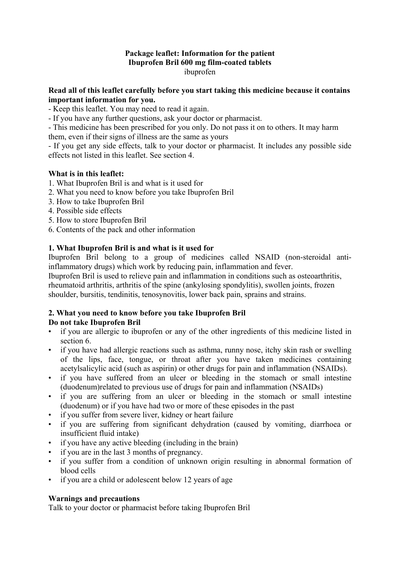## **Package leaflet: Information for the patient Ibuprofen Bril 600 mg film-coated tablets**  ibuprofen

## **Read all of this leaflet carefully before you start taking this medicine because it contains important information for you.**

- Keep this leaflet. You may need to read it again.

- If you have any further questions, ask your doctor or pharmacist.

- This medicine has been prescribed for you only. Do not pass it on to others. It may harm them, even if their signs of illness are the same as yours

- If you get any side effects, talk to your doctor or pharmacist. It includes any possible side effects not listed in this leaflet. See section 4.

# **What is in this leaflet:**

- 1. What Ibuprofen Bril is and what is it used for
- 2. What you need to know before you take Ibuprofen Bril
- 3. How to take Ibuprofen Bril
- 4. Possible side effects
- 5. How to store Ibuprofen Bril
- 6. Contents of the pack and other information

## **1. What Ibuprofen Bril is and what is it used for**

Ibuprofen Bril belong to a group of medicines called NSAID (non-steroidal antiinflammatory drugs) which work by reducing pain, inflammation and fever.

Ibuprofen Bril is used to relieve pain and inflammation in conditions such as osteoarthritis, rheumatoid arthritis, arthritis of the spine (ankylosing spondylitis), swollen joints, frozen shoulder, bursitis, tendinitis, tenosynovitis, lower back pain, sprains and strains.

# **2. What you need to know before you take Ibuprofen Bril**

# **Do not take Ibuprofen Bril**

- if you are allergic to ibuprofen or any of the other ingredients of this medicine listed in section 6.
- if you have had allergic reactions such as asthma, runny nose, itchy skin rash or swelling of the lips, face, tongue, or throat after you have taken medicines containing acetylsalicylic acid (such as aspirin) or other drugs for pain and inflammation (NSAIDs).
- if you have suffered from an ulcer or bleeding in the stomach or small intestine (duodenum)related to previous use of drugs for pain and inflammation (NSAIDs)
- if you are suffering from an ulcer or bleeding in the stomach or small intestine (duodenum) or if you have had two or more of these episodes in the past
- if you suffer from severe liver, kidney or heart failure
- if you are suffering from significant dehydration (caused by vomiting, diarrhoea or insufficient fluid intake)
- if you have any active bleeding (including in the brain)
- if you are in the last 3 months of pregnancy.
- if you suffer from a condition of unknown origin resulting in abnormal formation of blood cells
- if you are a child or adolescent below 12 years of age

# **Warnings and precautions**

Talk to your doctor or pharmacist before taking Ibuprofen Bril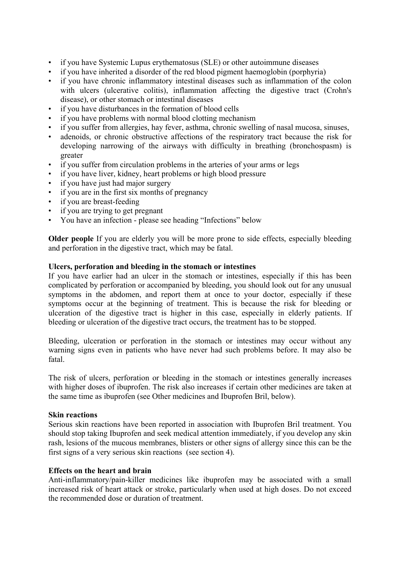- if you have Systemic Lupus erythematosus (SLE) or other autoimmune diseases
- if you have inherited a disorder of the red blood pigment haemoglobin (porphyria)
- if you have chronic inflammatory intestinal diseases such as inflammation of the colon with ulcers (ulcerative colitis), inflammation affecting the digestive tract (Crohn's disease), or other stomach or intestinal diseases
- if you have disturbances in the formation of blood cells
- if you have problems with normal blood clotting mechanism
- if you suffer from allergies, hay fever, asthma, chronic swelling of nasal mucosa, sinuses,
- adenoids, or chronic obstructive affections of the respiratory tract because the risk for developing narrowing of the airways with difficulty in breathing (bronchospasm) is greater
- if you suffer from circulation problems in the arteries of your arms or legs
- if you have liver, kidney, heart problems or high blood pressure
- if you have just had major surgery
- if you are in the first six months of pregnancy
- if you are breast-feeding
- if you are trying to get pregnant
- You have an infection please see heading "Infections" below

**Older people** If you are elderly you will be more prone to side effects, especially bleeding and perforation in the digestive tract, which may be fatal.

### **Ulcers, perforation and bleeding in the stomach or intestines**

If you have earlier had an ulcer in the stomach or intestines, especially if this has been complicated by perforation or accompanied by bleeding, you should look out for any unusual symptoms in the abdomen, and report them at once to your doctor, especially if these symptoms occur at the beginning of treatment. This is because the risk for bleeding or ulceration of the digestive tract is higher in this case, especially in elderly patients. If bleeding or ulceration of the digestive tract occurs, the treatment has to be stopped.

Bleeding, ulceration or perforation in the stomach or intestines may occur without any warning signs even in patients who have never had such problems before. It may also be fatal.

The risk of ulcers, perforation or bleeding in the stomach or intestines generally increases with higher doses of ibuprofen. The risk also increases if certain other medicines are taken at the same time as ibuprofen (see Other medicines and Ibuprofen Bril, below).

### **Skin reactions**

Serious skin reactions have been reported in association with Ibuprofen Bril treatment. You should stop taking Ibuprofen and seek medical attention immediately, if you develop any skin rash, lesions of the mucous membranes, blisters or other signs of allergy since this can be the first signs of a very serious skin reactions (see section 4).

### **Effects on the heart and brain**

Anti-inflammatory/pain-killer medicines like ibuprofen may be associated with a small increased risk of heart attack or stroke, particularly when used at high doses. Do not exceed the recommended dose or duration of treatment.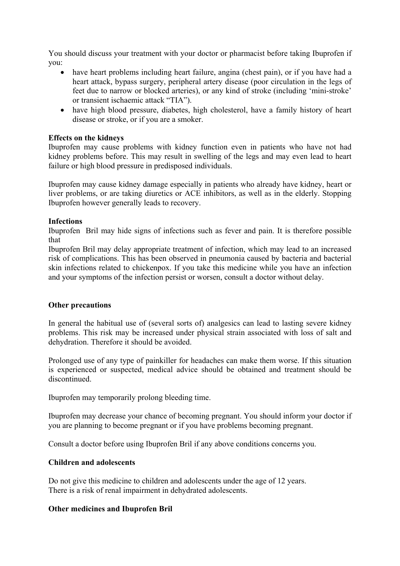You should discuss your treatment with your doctor or pharmacist before taking Ibuprofen if you:

- have heart problems including heart failure, angina (chest pain), or if you have had a heart attack, bypass surgery, peripheral artery disease (poor circulation in the legs of feet due to narrow or blocked arteries), or any kind of stroke (including 'mini-stroke' or transient ischaemic attack "TIA").
- have high blood pressure, diabetes, high cholesterol, have a family history of heart disease or stroke, or if you are a smoker.

## **Effects on the kidneys**

Ibuprofen may cause problems with kidney function even in patients who have not had kidney problems before. This may result in swelling of the legs and may even lead to heart failure or high blood pressure in predisposed individuals.

Ibuprofen may cause kidney damage especially in patients who already have kidney, heart or liver problems, or are taking diuretics or ACE inhibitors, as well as in the elderly. Stopping Ibuprofen however generally leads to recovery.

### **Infections**

Ibuprofen Bril may hide signs of infections such as fever and pain. It is therefore possible that

Ibuprofen Bril may delay appropriate treatment of infection, which may lead to an increased risk of complications. This has been observed in pneumonia caused by bacteria and bacterial skin infections related to chickenpox. If you take this medicine while you have an infection and your symptoms of the infection persist or worsen, consult a doctor without delay.

### **Other precautions**

In general the habitual use of (several sorts of) analgesics can lead to lasting severe kidney problems. This risk may be increased under physical strain associated with loss of salt and dehydration. Therefore it should be avoided.

Prolonged use of any type of painkiller for headaches can make them worse. If this situation is experienced or suspected, medical advice should be obtained and treatment should be discontinued.

Ibuprofen may temporarily prolong bleeding time.

Ibuprofen may decrease your chance of becoming pregnant. You should inform your doctor if you are planning to become pregnant or if you have problems becoming pregnant.

Consult a doctor before using Ibuprofen Bril if any above conditions concerns you.

### **Children and adolescents**

Do not give this medicine to children and adolescents under the age of 12 years. There is a risk of renal impairment in dehydrated adolescents.

### **Other medicines and Ibuprofen Bril**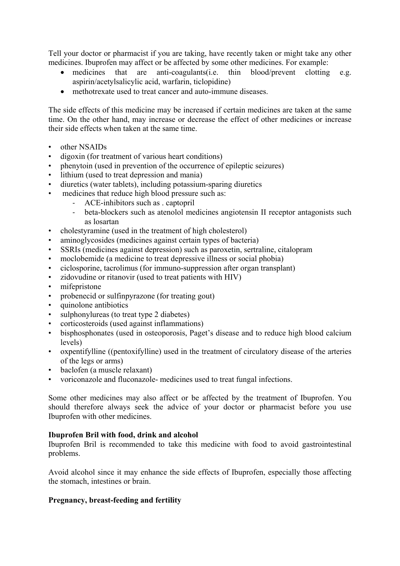Tell your doctor or pharmacist if you are taking, have recently taken or might take any other medicines. Ibuprofen may affect or be affected by some other medicines. For example:

- medicines that are anti-coagulants(i.e. thin blood/prevent clotting e.g. aspirin/acetylsalicylic acid, warfarin, ticlopidine)
- methotrexate used to treat cancer and auto-immune diseases.

The side effects of this medicine may be increased if certain medicines are taken at the same time. On the other hand, may increase or decrease the effect of other medicines or increase their side effects when taken at the same time.

- other NSAIDs
- digoxin (for treatment of various heart conditions)
- phenytoin (used in prevention of the occurrence of epileptic seizures)
- lithium (used to treat depression and mania)
- diuretics (water tablets), including potassium-sparing diuretics
- medicines that reduce high blood pressure such as:
	- ‐ ACE-inhibitors such as . captopril
	- ‐ beta-blockers such as atenolol medicines angiotensin II receptor antagonists such as losartan
- cholestyramine (used in the treatment of high cholesterol)
- aminoglycosides (medicines against certain types of bacteria)
- SSRIs (medicines against depression) such as paroxetin, sertraline, citalopram
- moclobemide (a medicine to treat depressive illness or social phobia)
- ciclosporine, tacrolimus (for immuno-suppression after organ transplant)
- zidovudine or ritanovir (used to treat patients with HIV)
- mifepristone
- probenecid or sulfinpyrazone (for treating gout)
- quinolone antibiotics
- sulphonylureas (to treat type 2 diabetes)
- corticosteroids (used against inflammations)
- bisphosphonates (used in osteoporosis, Paget's disease and to reduce high blood calcium levels)
- oxpentifylline ((pentoxifylline) used in the treatment of circulatory disease of the arteries of the legs or arms)
- baclofen (a muscle relaxant)
- voriconazole and fluconazole- medicines used to treat fungal infections.

Some other medicines may also affect or be affected by the treatment of Ibuprofen. You should therefore always seek the advice of your doctor or pharmacist before you use Ibuprofen with other medicines.

### **Ibuprofen Bril with food, drink and alcohol**

Ibuprofen Bril is recommended to take this medicine with food to avoid gastrointestinal problems.

Avoid alcohol since it may enhance the side effects of Ibuprofen, especially those affecting the stomach, intestines or brain.

# **Pregnancy, breast-feeding and fertility**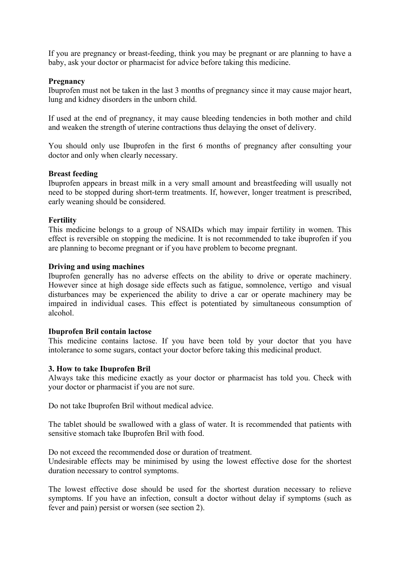If you are pregnancy or breast-feeding, think you may be pregnant or are planning to have a baby, ask your doctor or pharmacist for advice before taking this medicine.

#### **Pregnancy**

Ibuprofen must not be taken in the last 3 months of pregnancy since it may cause major heart, lung and kidney disorders in the unborn child.

If used at the end of pregnancy, it may cause bleeding tendencies in both mother and child and weaken the strength of uterine contractions thus delaying the onset of delivery.

You should only use Ibuprofen in the first 6 months of pregnancy after consulting your doctor and only when clearly necessary.

#### **Breast feeding**

Ibuprofen appears in breast milk in a very small amount and breastfeeding will usually not need to be stopped during short-term treatments. If, however, longer treatment is prescribed, early weaning should be considered.

#### **Fertility**

This medicine belongs to a group of NSAIDs which may impair fertility in women. This effect is reversible on stopping the medicine. It is not recommended to take ibuprofen if you are planning to become pregnant or if you have problem to become pregnant.

#### **Driving and using machines**

Ibuprofen generally has no adverse effects on the ability to drive or operate machinery. However since at high dosage side effects such as fatigue, somnolence, vertigo and visual disturbances may be experienced the ability to drive a car or operate machinery may be impaired in individual cases. This effect is potentiated by simultaneous consumption of alcohol.

#### **Ibuprofen Bril contain lactose**

This medicine contains lactose. If you have been told by your doctor that you have intolerance to some sugars, contact your doctor before taking this medicinal product.

#### **3. How to take Ibuprofen Bril**

Always take this medicine exactly as your doctor or pharmacist has told you. Check with your doctor or pharmacist if you are not sure.

Do not take Ibuprofen Bril without medical advice.

The tablet should be swallowed with a glass of water. It is recommended that patients with sensitive stomach take Ibuprofen Bril with food.

Do not exceed the recommended dose or duration of treatment.

Undesirable effects may be minimised by using the lowest effective dose for the shortest duration necessary to control symptoms.

The lowest effective dose should be used for the shortest duration necessary to relieve symptoms. If you have an infection, consult a doctor without delay if symptoms (such as fever and pain) persist or worsen (see section 2).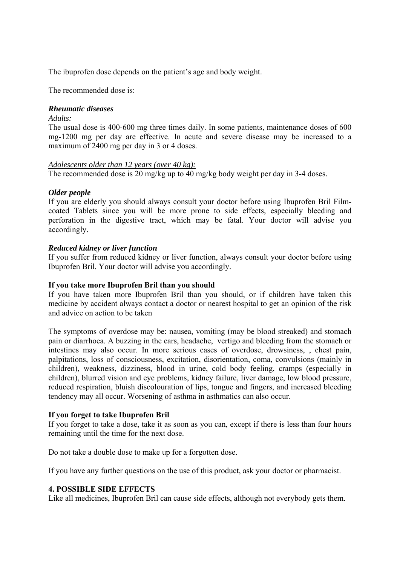The ibuprofen dose depends on the patient's age and body weight.

The recommended dose is:

## *Rheumatic diseases*

### *Adults:*

The usual dose is 400-600 mg three times daily. In some patients, maintenance doses of 600 mg-1200 mg per day are effective. In acute and severe disease may be increased to a maximum of 2400 mg per day in 3 or 4 doses.

### *Adolescents older than 12 years (over 40 kg):*

The recommended dose is 20 mg/kg up to 40 mg/kg body weight per day in 3-4 doses.

# *Older people*

If you are elderly you should always consult your doctor before using Ibuprofen Bril Filmcoated Tablets since you will be more prone to side effects, especially bleeding and perforation in the digestive tract, which may be fatal. Your doctor will advise you accordingly.

## *Reduced kidney or liver function*

If you suffer from reduced kidney or liver function, always consult your doctor before using Ibuprofen Bril. Your doctor will advise you accordingly.

### **If you take more Ibuprofen Bril than you should**

If you have taken more Ibuprofen Bril than you should, or if children have taken this medicine by accident always contact a doctor or nearest hospital to get an opinion of the risk and advice on action to be taken

The symptoms of overdose may be: nausea, vomiting (may be blood streaked) and stomach pain or diarrhoea. A buzzing in the ears, headache, vertigo and bleeding from the stomach or intestines may also occur. In more serious cases of overdose, drowsiness, , chest pain, palpitations, loss of consciousness, excitation, disorientation, coma, convulsions (mainly in children), weakness, dizziness, blood in urine, cold body feeling, cramps (especially in children), blurred vision and eye problems, kidney failure, liver damage, low blood pressure, reduced respiration, bluish discolouration of lips, tongue and fingers, and increased bleeding tendency may all occur. Worsening of asthma in asthmatics can also occur.

# **If you forget to take Ibuprofen Bril**

If you forget to take a dose, take it as soon as you can, except if there is less than four hours remaining until the time for the next dose.

Do not take a double dose to make up for a forgotten dose.

If you have any further questions on the use of this product, ask your doctor or pharmacist.

# **4. POSSIBLE SIDE EFFECTS**

Like all medicines, Ibuprofen Bril can cause side effects, although not everybody gets them.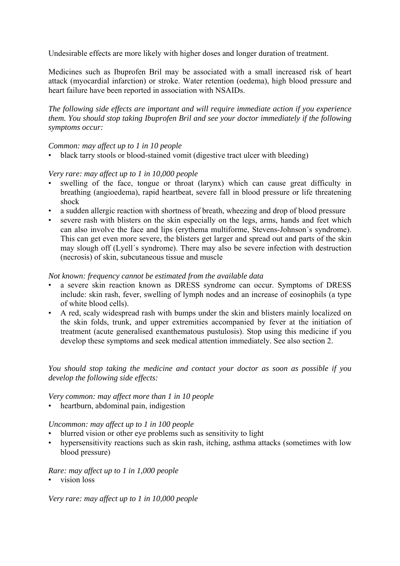Undesirable effects are more likely with higher doses and longer duration of treatment.

Medicines such as Ibuprofen Bril may be associated with a small increased risk of heart attack (myocardial infarction) or stroke. Water retention (oedema), high blood pressure and heart failure have been reported in association with NSAIDs.

*The following side effects are important and will require immediate action if you experience them. You should stop taking Ibuprofen Bril and see your doctor immediately if the following symptoms occur:* 

## *Common: may affect up to 1 in 10 people*

• black tarry stools or blood-stained vomit (digestive tract ulcer with bleeding)

## *Very rare: may affect up to 1 in 10,000 people*

- swelling of the face, tongue or throat (larynx) which can cause great difficulty in breathing (angioedema), rapid heartbeat, severe fall in blood pressure or life threatening shock
- a sudden allergic reaction with shortness of breath, wheezing and drop of blood pressure
- severe rash with blisters on the skin especially on the legs, arms, hands and feet which can also involve the face and lips (erythema multiforme, Stevens-Johnson´s syndrome). This can get even more severe, the blisters get larger and spread out and parts of the skin may slough off (Lyell´s syndrome). There may also be severe infection with destruction (necrosis) of skin, subcutaneous tissue and muscle

### *Not known: frequency cannot be estimated from the available data*

- a severe skin reaction known as DRESS syndrome can occur. Symptoms of DRESS include: skin rash, fever, swelling of lymph nodes and an increase of eosinophils (a type of white blood cells).
- A red, scaly widespread rash with bumps under the skin and blisters mainly localized on the skin folds, trunk, and upper extremities accompanied by fever at the initiation of treatment (acute generalised exanthematous pustulosis). Stop using this medicine if you develop these symptoms and seek medical attention immediately. See also section 2.

*You should stop taking the medicine and contact your doctor as soon as possible if you develop the following side effects:* 

## *Very common: may affect more than 1 in 10 people*

• heartburn, abdominal pain, indigestion

### *Uncommon: may affect up to 1 in 100 people*

- blurred vision or other eye problems such as sensitivity to light
- hypersensitivity reactions such as skin rash, itching, asthma attacks (sometimes with low blood pressure)

### *Rare: may affect up to 1 in 1,000 people*

• vision loss

*Very rare: may affect up to 1 in 10,000 people*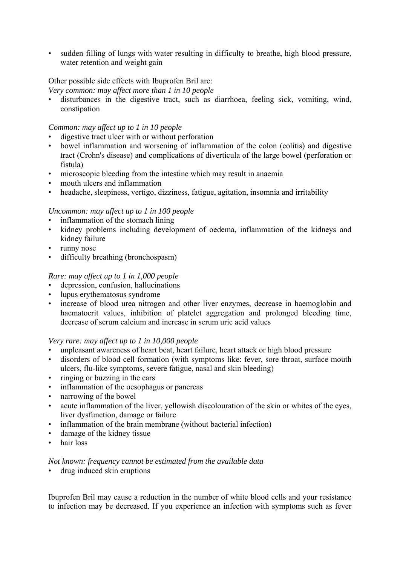• sudden filling of lungs with water resulting in difficulty to breathe, high blood pressure, water retention and weight gain

# Other possible side effects with Ibuprofen Bril are:

*Very common: may affect more than 1 in 10 people* 

• disturbances in the digestive tract, such as diarrhoea, feeling sick, vomiting, wind, constipation

### *Common: may affect up to 1 in 10 people*

- digestive tract ulcer with or without perforation
- bowel inflammation and worsening of inflammation of the colon (colitis) and digestive tract (Crohn's disease) and complications of diverticula of the large bowel (perforation or fistula)
- microscopic bleeding from the intestine which may result in anaemia
- mouth ulcers and inflammation
- headache, sleepiness, vertigo, dizziness, fatigue, agitation, insomnia and irritability

## *Uncommon: may affect up to 1 in 100 people*

- inflammation of the stomach lining
- kidney problems including development of oedema, inflammation of the kidneys and kidney failure
- runny nose
- difficulty breathing (bronchospasm)

## *Rare: may affect up to 1 in 1,000 people*

- depression, confusion, hallucinations
- lupus erythematosus syndrome
- increase of blood urea nitrogen and other liver enzymes, decrease in haemoglobin and haematocrit values, inhibition of platelet aggregation and prolonged bleeding time, decrease of serum calcium and increase in serum uric acid values

### *Very rare: may affect up to 1 in 10,000 people*

- unpleasant awareness of heart beat, heart failure, heart attack or high blood pressure
- disorders of blood cell formation (with symptoms like: fever, sore throat, surface mouth ulcers, flu-like symptoms, severe fatigue, nasal and skin bleeding)
- ringing or buzzing in the ears
- inflammation of the oesophagus or pancreas
- narrowing of the bowel
- acute inflammation of the liver, yellowish discolouration of the skin or whites of the eyes, liver dysfunction, damage or failure
- inflammation of the brain membrane (without bacterial infection)
- damage of the kidney tissue
- hair loss

# *Not known: frequency cannot be estimated from the available data*

drug induced skin eruptions

Ibuprofen Bril may cause a reduction in the number of white blood cells and your resistance to infection may be decreased. If you experience an infection with symptoms such as fever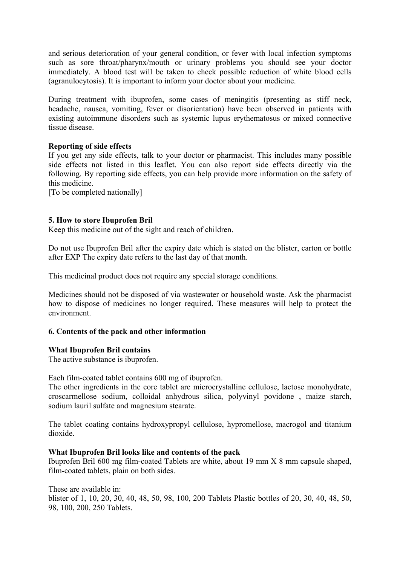and serious deterioration of your general condition, or fever with local infection symptoms such as sore throat/pharynx/mouth or urinary problems you should see your doctor immediately. A blood test will be taken to check possible reduction of white blood cells (agranulocytosis). It is important to inform your doctor about your medicine.

During treatment with ibuprofen, some cases of meningitis (presenting as stiff neck, headache, nausea, vomiting, fever or disorientation) have been observed in patients with existing autoimmune disorders such as systemic lupus erythematosus or mixed connective tissue disease.

## **Reporting of side effects**

If you get any side effects, talk to your doctor or pharmacist. This includes many possible side effects not listed in this leaflet. You can also report side effects directly via the following. By reporting side effects, you can help provide more information on the safety of this medicine.

[To be completed nationally]

## **5. How to store Ibuprofen Bril**

Keep this medicine out of the sight and reach of children.

Do not use Ibuprofen Bril after the expiry date which is stated on the blister, carton or bottle after EXP The expiry date refers to the last day of that month.

This medicinal product does not require any special storage conditions.

Medicines should not be disposed of via wastewater or household waste. Ask the pharmacist how to dispose of medicines no longer required. These measures will help to protect the environment.

### **6. Contents of the pack and other information**

# **What Ibuprofen Bril contains**

The active substance is ibuprofen.

Each film-coated tablet contains 600 mg of ibuprofen.

The other ingredients in the core tablet are microcrystalline cellulose, lactose monohydrate, croscarmellose sodium, colloidal anhydrous silica, polyvinyl povidone , maize starch, sodium lauril sulfate and magnesium stearate.

The tablet coating contains hydroxypropyl cellulose, hypromellose, macrogol and titanium dioxide.

### **What Ibuprofen Bril looks like and contents of the pack**

Ibuprofen Bril 600 mg film-coated Tablets are white, about 19 mm X 8 mm capsule shaped, film-coated tablets, plain on both sides.

These are available in: blister of 1, 10, 20, 30, 40, 48, 50, 98, 100, 200 Tablets Plastic bottles of 20, 30, 40, 48, 50, 98, 100, 200, 250 Tablets.